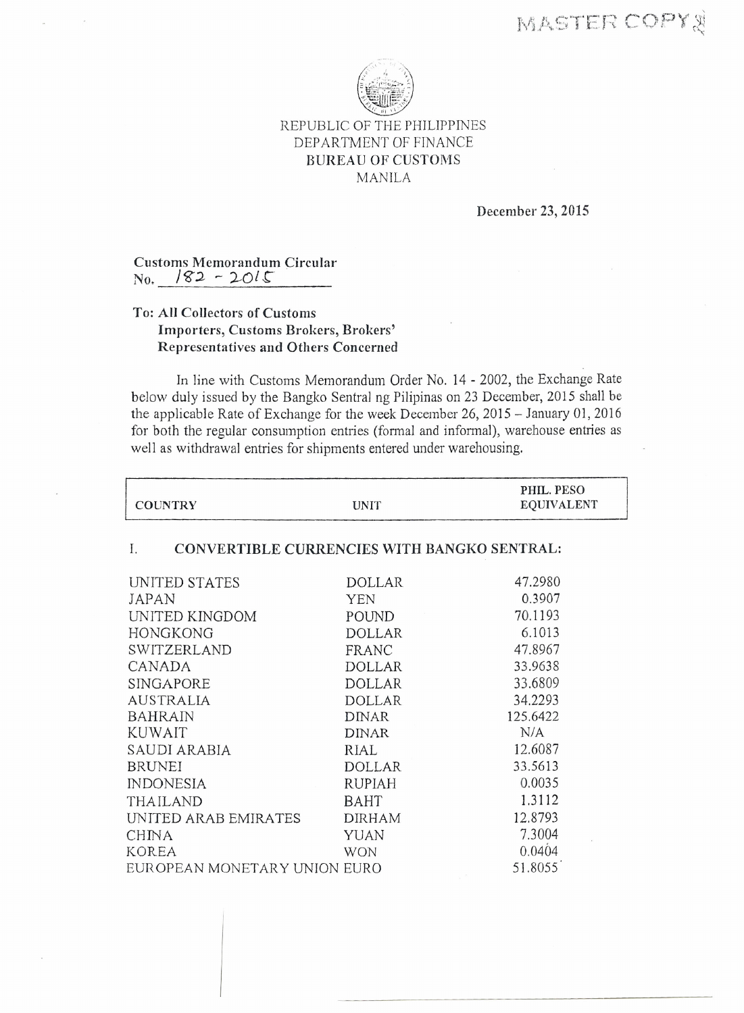

## REPUBLIC OF THE PHILIPPINES DEPARTMENT OF FINANCE BUREAU OF CUSTOMS MANILA

December 23, 2015

Customs Memorandum Circular  $\text{No.}$   $\frac{182 - 2015}{5}$ 

## *To:* All Collectors of Customs Importers, Customs Brokers, Brokers' Representatives and Others Concerned

In line with Customs Memorandum Order No. 14 - 2002, the Exchange Rate below duly issued by the Bangko Sentral ng Pilipinas on 23 December, 2015 shall be the applicable Rate of Exchange for the week December 26,2015 - January 01, 2016 for both the regular consumption entries (formal and informal), warehouse entries as well as withdrawal entries for shipments entered under warehousing.

| <b>COUNTRY</b>                                    | <b>UNIT</b>   | PHIL. PESO<br><b>EQUIVALENT</b> |  |  |
|---------------------------------------------------|---------------|---------------------------------|--|--|
| CONVERTIBLE CURRENCIES WITH BANGKO SENTRAL:<br>Ι. |               |                                 |  |  |
| UNITED STATES                                     | <b>DOLLAR</b> | 47.2980                         |  |  |
| JAPAN                                             | <b>YEN</b>    | 0.3907                          |  |  |
| UNITED KINGDOM                                    | POUND         | 70.1193                         |  |  |
| <b>HONGKONG</b>                                   | <b>DOLLAR</b> | 6.1013                          |  |  |
| SWITZERLAND                                       | FRANC         | 47.8967                         |  |  |
| CANADA                                            | <b>DOLLAR</b> | 33.9638                         |  |  |
| <b>SINGAPORE</b>                                  | <b>DOLLAR</b> | 33.6809                         |  |  |
| <b>AUSTRALIA</b>                                  | <b>DOLLAR</b> | 34.2293                         |  |  |
| <b>BAHRAIN</b>                                    | <b>DINAR</b>  | 125.6422                        |  |  |
| <b>KUWAIT</b>                                     | <b>DINAR</b>  | N/A                             |  |  |
| SAUDI ARABIA                                      | RIAL          | 12.6087                         |  |  |
| <b>BRUNEI</b>                                     | <b>DOLLAR</b> | 33.5613                         |  |  |
| <b>INDONESIA</b>                                  | <b>RUPIAH</b> | 0.0035                          |  |  |
| <b>THAILAND</b>                                   | <b>BAHT</b>   | 1.3112                          |  |  |
| UNITED ARAB EMIRATES                              | <b>DIRHAM</b> | 12.8793                         |  |  |
| CHINA                                             | YUAN          | 7.3004                          |  |  |
| KOREA                                             | <b>WON</b>    | 0.0404                          |  |  |
| EUROPEAN MONETARY UNION EURO                      |               | 51.8055                         |  |  |